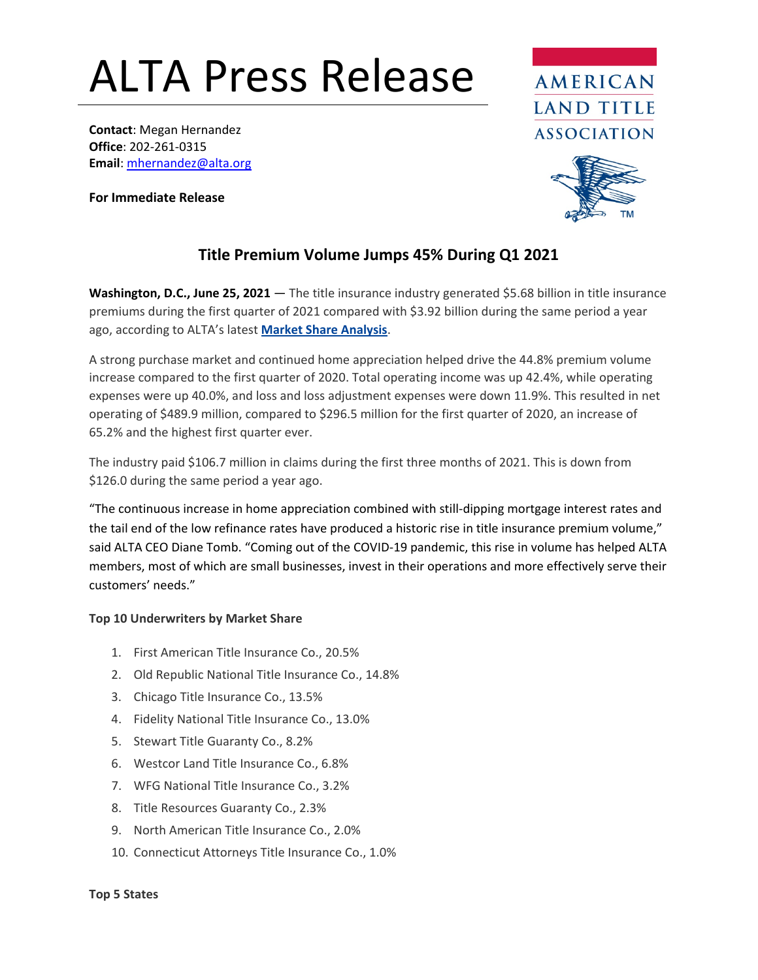## ALTA Press Release

**Contact**: Megan Hernandez **Office**: 202-261-0315 **Email**[: mhernandez@alta.org](mailto:mhernandez@alta.org)

**For Immediate Release**





## **Title Premium Volume Jumps 45% During Q1 2021**

**Washington, D.C., June 25, 2021** — The title insurance industry generated \$5.68 billion in title insurance premiums during the first quarter of 2021 compared with \$3.92 billion during the same period a year ago, according to ALTA's latest **[Market Share Analysis](https://www.alta.org/industry-research/)**.

A strong purchase market and continued home appreciation helped drive the 44.8% premium volume increase compared to the first quarter of 2020. Total operating income was up 42.4%, while operating expenses were up 40.0%, and loss and loss adjustment expenses were down 11.9%. This resulted in net operating of \$489.9 million, compared to \$296.5 million for the first quarter of 2020, an increase of 65.2% and the highest first quarter ever.

The industry paid \$106.7 million in claims during the first three months of 2021. This is down from \$126.0 during the same period a year ago.

"The continuous increase in home appreciation combined with still-dipping mortgage interest rates and the tail end of the low refinance rates have produced a historic rise in title insurance premium volume," said ALTA CEO Diane Tomb. "Coming out of the COVID-19 pandemic, this rise in volume has helped ALTA members, most of which are small businesses, invest in their operations and more effectively serve their customers' needs."

## **Top 10 Underwriters by Market Share**

- 1. First American Title Insurance Co., 20.5%
- 2. Old Republic National Title Insurance Co., 14.8%
- 3. Chicago Title Insurance Co., 13.5%
- 4. Fidelity National Title Insurance Co., 13.0%
- 5. Stewart Title Guaranty Co., 8.2%
- 6. Westcor Land Title Insurance Co., 6.8%
- 7. WFG National Title Insurance Co., 3.2%
- 8. Title Resources Guaranty Co., 2.3%
- 9. North American Title Insurance Co., 2.0%
- 10. Connecticut Attorneys Title Insurance Co., 1.0%